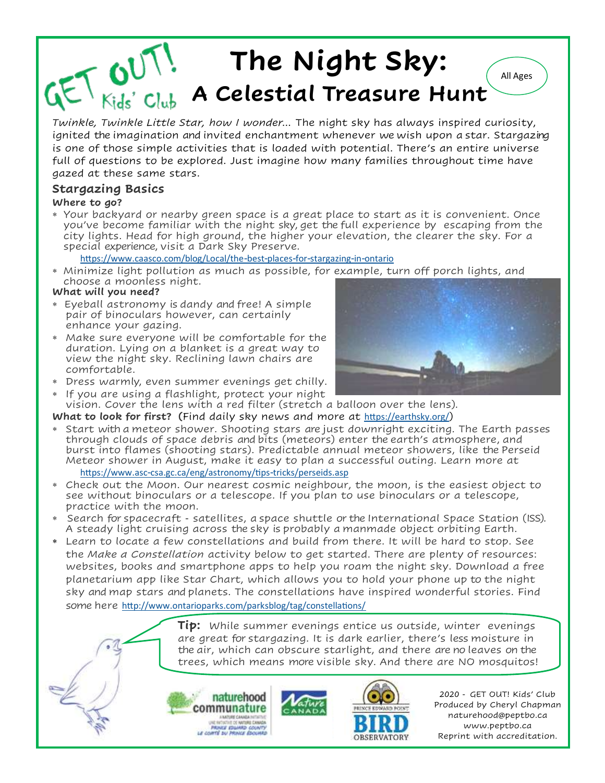### $T$   $\bigcup_{Kids' \text{ } Clu}$ **The Night Sky:** All Ages **A Celestial Treasure Hunt**

*Twinkle, Twinkle Little Star, how I wonder...* The night sky has always inspired curiosity, ignited the imagination and invited enchantment whenever we wish upon a star. Stargazing is one of those simple activities that is loaded with potential. There's an entire universe full of questions to be explored. Just imagine how many families throughout time have gazed at these same stars.

### **Stargazing Basics**

#### **Where to go?**

 Your backyard or nearby green space is a great place to start as it is convenient. Once you've become familiar with the night sky, get the full experience by escaping from the city lights. Head for high ground, the higher your elevation, the clearer the sky. For a special experience, visit a Dark Sky Preserve.

#### <https://www.caasco.com/blog/Local/the-best-places-for-stargazing-in-ontario>

 Minimize light pollution as much as possible, for example, turn off porch lights, and choose a moonless night.

#### **What will you need?**

- Eyeball astronomy is dandy and free! A simple pair of binoculars however, can certainly enhance your gazing.
- Make sure everyone will be comfortable for the duration. Lying on a blanket is a great way to view the night sky. Reclining lawn chairs are comfortable.
- Dress warmly, even summer evenings get chilly.
- If you are using a flashlight, protect your night vision. Cover the lens with a red filter (stretch a balloon over the lens).

### **What to look for first? (**Find daily sky news and more at <https://earthsky.org/>)

- Start with a meteor shower. Shooting stars are just downright exciting. The Earth passes through clouds of space debris and bits (meteors) enter the earth's atmosphere, and burst into flames (shooting stars). Predictable annual meteor showers, like the Perseid Meteor shower in August, make it easy to plan a successful outing. Learn more at <https://www.asc-csa.gc.ca/eng/astronomy/tips-tricks/perseids.asp>
- Check out the Moon. Our nearest cosmic neighbour, the moon, is the easiest object to see without binoculars or a telescope. If you plan to use binoculars or a telescope, practice with the moon.
- Search for spacecraft satellites, a space shuttle or the International Space Station (ISS). A steady light cruising across the sky is probably a manmade object orbiting Earth.
- Learn to locate a few constellations and build from there. It will be hard to stop. See the *Make a Constellation* activity below to get started. There are plenty of resources: websites, books and smartphone apps to help you roam the night sky. Download a free planetarium app like Star Chart, which allows you to hold your phone up to the night sky and map stars and planets. The constellations have inspired wonderful stories. Find some here <http://www.ontarioparks.com/parksblog/tag/constellations/>

**Tip:** While summer evenings entice us outside, winter evenings are great for stargazing. It is dark earlier, there's less moisture in the air, which can obscure starlight, and there are no leaves on the trees, which means more visible sky. And there are NO mosquitos!



2020 - GET OUT! Kids' Club Produced by Cheryl Chapman naturehood@peptbo.ca www.peptbo.ca Reprint with accreditation.

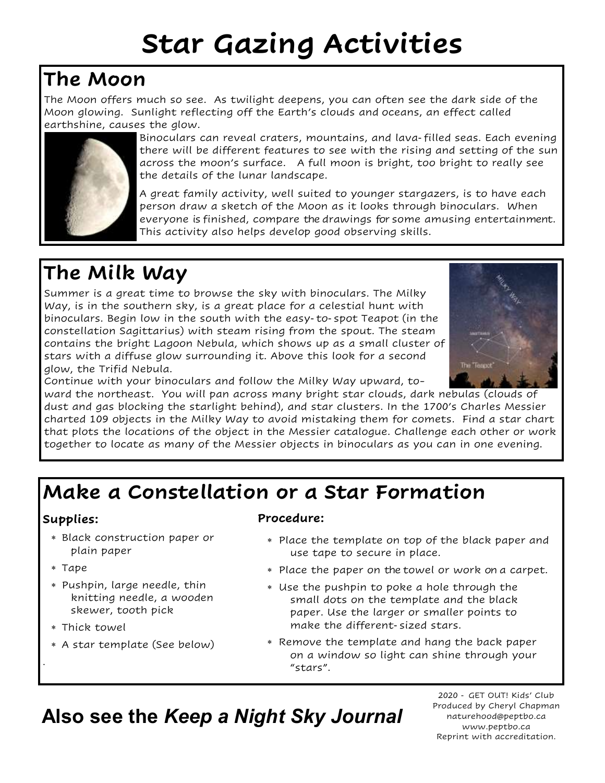# **Star Gazing Activities**

## **The Moon**

The Moon offers much so see. As twilight deepens, you can often see the dark side of the Moon glowing. Sunlight reflecting off the Earth's clouds and oceans, an effect called earthshine, causes the glow.



Binoculars can reveal craters, mountains, and lava-filled seas. Each evening there will be different features to see with the rising and setting of the sun across the moon's surface. A full moon is bright, too bright to really see the details of the lunar landscape.

A great family activity, well suited to younger stargazers, is to have each person draw a sketch of the Moon as it looks through binoculars. When everyone is finished, compare the drawings for some amusing entertainment. This activity also helps develop good observing skills.

## **The Milk Way**

Summer is a great time to browse the sky with binoculars. The Milky Way, is in the southern sky, is a great place for a celestial hunt with binoculars. Begin low in the south with the easy-to-spot Teapot (in the constellation Sagittarius) with steam rising from the spout. The steam contains the bright Lagoon Nebula, which shows up as a small cluster of stars with a diffuse glow surrounding it. Above this look for a second glow, the Trifid Nebula.



Continue with your binoculars and follow the Milky Way upward, to-

ward the northeast. You will pan across many bright star clouds, dark nebulas (clouds of dust and gas blocking the starlight behind), and star clusters. In the 1700's Charles Messier charted 109 objects in the Milky Way to avoid mistaking them for comets. Find a star chart that plots the locations of the object in the Messier catalogue. Challenge each other or work together to locate as many of the Messier objects in binoculars as you can in one evening.

## **Make a Constellation or a Star Formation**

### **Supplies:**

- Black construction paper or plain paper
- Tape

.

- Pushpin, large needle, thin knitting needle, a wooden skewer, tooth pick
- Thick towel
- A star template (See below)

### **Procedure:**

- Place the template on top of the black paper and use tape to secure in place.
- Place the paper on the towel or work on a carpet.
- Use the pushpin to poke a hole through the small dots on the template and the black paper. Use the larger or smaller points to make the different-sized stars.
- Remove the template and hang the back paper on a window so light can shine through your "stars".

**Also see the** *Keep a Night Sky Journal*

2020 - GET OUT! Kids' Club Produced by Cheryl Chapman naturehood@peptbo.ca www.peptbo.ca Reprint with accreditation.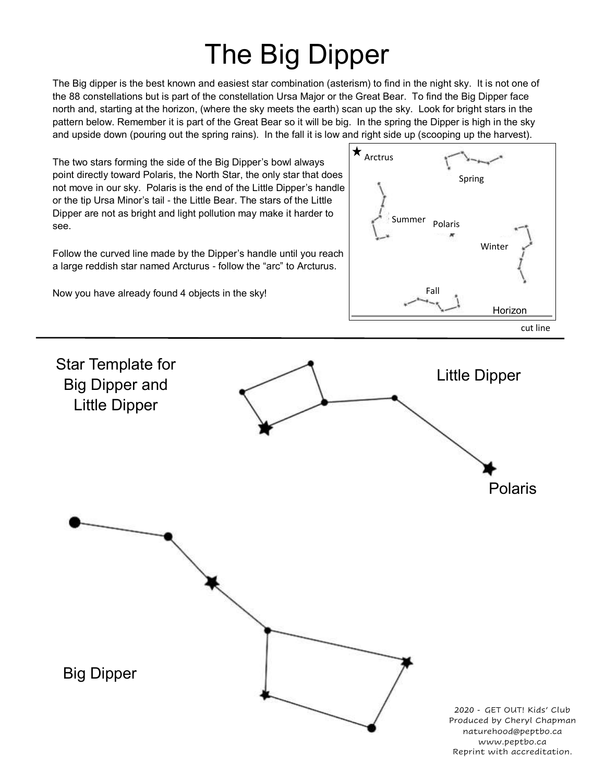# The Big Dipper

The Big dipper is the best known and easiest star combination (asterism) to find in the night sky. It is not one of the 88 constellations but is part of the constellation Ursa Major or the Great Bear. To find the Big Dipper face north and, starting at the horizon, (where the sky meets the earth) scan up the sky. Look for bright stars in the pattern below. Remember it is part of the Great Bear so it will be big. In the spring the Dipper is high in the sky and upside down (pouring out the spring rains). In the fall it is low and right side up (scooping up the harvest).

The two stars forming the side of the Big Dipper's bowl always point directly toward Polaris, the North Star, the only star that does not move in our sky. Polaris is the end of the Little Dipper's handle or the tip Ursa Minor's tail - the Little Bear. The stars of the Little Dipper are not as bright and light pollution may make it harder to see.

Follow the curved line made by the Dipper's handle until you reach a large reddish star named Arcturus - follow the "arc" to Arcturus.

Now you have already found 4 objects in the sky!



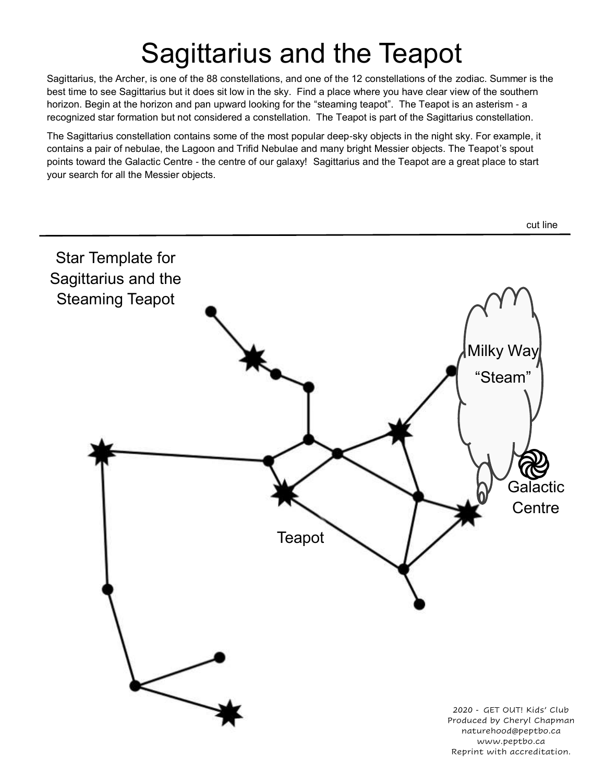## Sagittarius and the Teapot

Sagittarius, the Archer, is one of the 88 constellations, and one of the 12 constellations of the zodiac. Summer is the best time to see Sagittarius but it does sit low in the sky. Find a place where you have clear view of the southern horizon. Begin at the horizon and pan upward looking for the "steaming teapot". The Teapot is an asterism - a recognized star formation but not considered a constellation. The Teapot is part of the Sagittarius constellation.

The Sagittarius constellation contains some of the most popular deep-sky objects in the night sky. For example, it contains a pair of nebulae, the Lagoon and Trifid Nebulae and many bright Messier objects. The Teapot's spout points toward the Galactic Centre - the centre of our galaxy! Sagittarius and the Teapot are a great place to start your search for all the Messier objects.